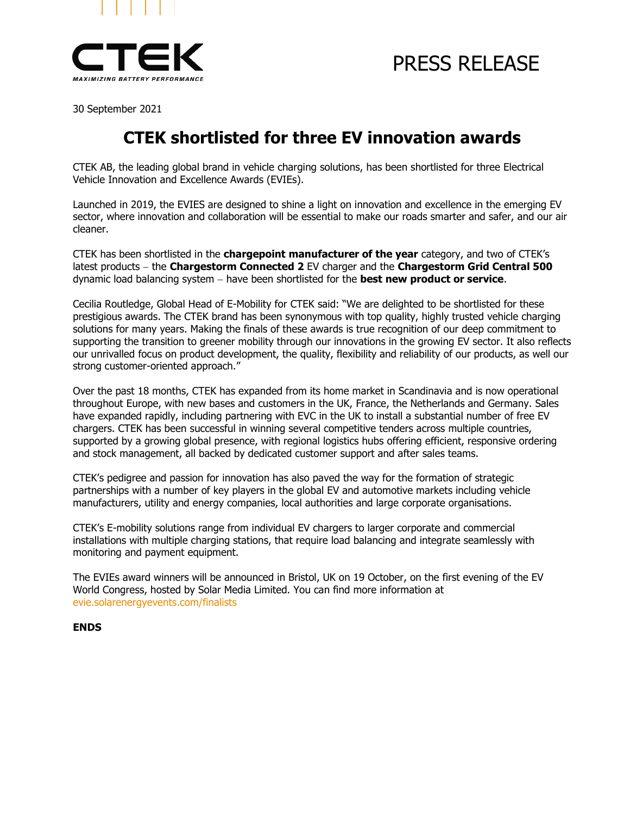

## PRESS RELEASE

30 September 2021

### **CTEK shortlisted for three EV innovation awards**

CTEK AB, the leading global brand in vehicle charging solutions, has been shortlisted for three Electrical Vehicle Innovation and Excellence Awards (EVIEs).

Launched in 2019, the EVIES are designed to shine a light on innovation and excellence in the emerging EV sector, where innovation and collaboration will be essential to make our roads smarter and safer, and our air cleaner.

CTEK has been shortlisted in the **chargepoint manufacturer of the year** category, and two of CTEK's latest products − the **Chargestorm Connected 2** EV charger and the **Chargestorm Grid Central 500** dynamic load balancing system − have been shortlisted for the **best new product or service**.

Cecilia Routledge, Global Head of E-Mobility for CTEK said: "We are delighted to be shortlisted for these prestigious awards. The CTEK brand has been synonymous with top quality, highly trusted vehicle charging solutions for many years. Making the finals of these awards is true recognition of our deep commitment to supporting the transition to greener mobility through our innovations in the growing EV sector. It also reflects our unrivalled focus on product development, the quality, flexibility and reliability of our products, as well our strong customer-oriented approach."

Over the past 18 months, CTEK has expanded from its home market in Scandinavia and is now operational throughout Europe, with new bases and customers in the UK, France, the Netherlands and Germany. Sales have expanded rapidly, including partnering with EVC in the UK to install a substantial number of free EV chargers. CTEK has been successful in winning several competitive tenders across multiple countries, supported by a growing global presence, with regional logistics hubs offering efficient, responsive ordering and stock management, all backed by dedicated customer support and after sales teams.

CTEK's pedigree and passion for innovation has also paved the way for the formation of strategic partnerships with a number of key players in the global EV and automotive markets including vehicle manufacturers, utility and energy companies, local authorities and large corporate organisations.

CTEK's E-mobility solutions range from individual EV chargers to larger corporate and commercial installations with multiple charging stations, that require load balancing and integrate seamlessly with monitoring and payment equipment.

The EVIEs award winners will be announced in Bristol, UK on 19 October, on the first evening of the EV World Congress, hosted by Solar Media Limited. You can find more information at [evie.solarenergyevents.com/finalists](https://evie.solarenergyevents.com/finalists/)

#### **ENDS**